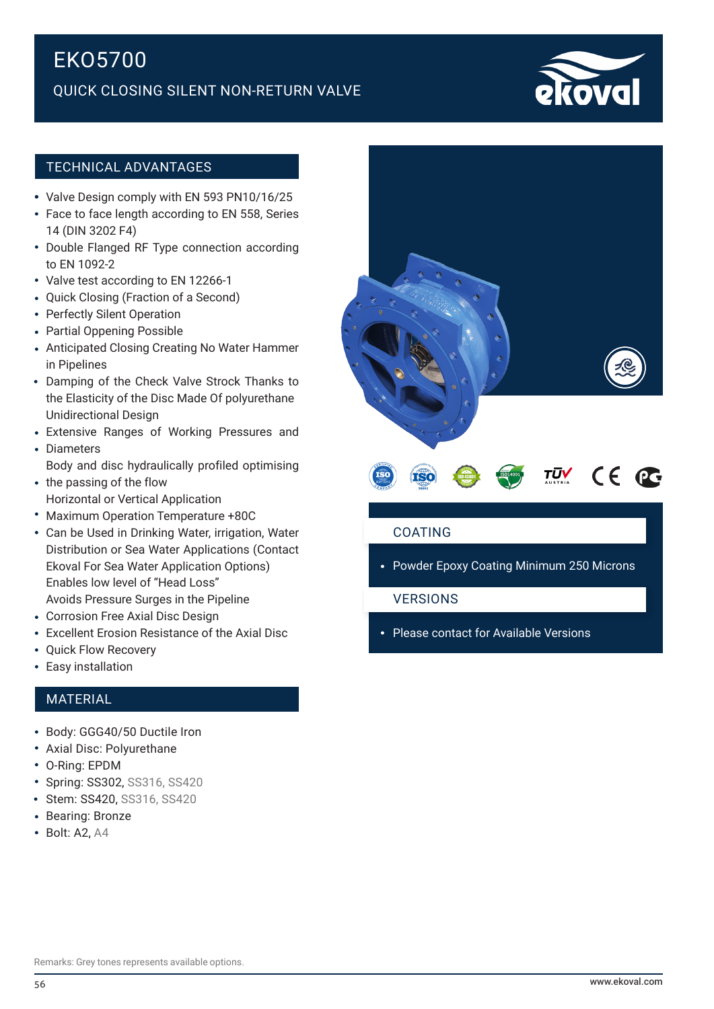# EKO5700 QUICK CLOSING SILENT NON-RETURN VALVE



## TECHNICAL ADVANTAGES

- Valve Design comply with EN 593 PN10/16/25
- Face to face length according to EN 558, Series 14 (DIN 3202 F4)
- Double Flanged RF Type connection according to EN 1092-2
- Valve test according to EN 12266-1
- Quick Closing (Fraction of a Second)
- Perfectly Silent Operation
- Partial Oppening Possible
- Anticipated Closing Creating No Water Hammer in Pipelines
- Damping of the Check Valve Strock Thanks to the Elasticity of the Disc Made Of polyurethane Unidirectional Design
- Extensive Ranges of Working Pressures and
- Diameters Body and disc hydraulically profiled optimising
- the passing of the flow Horizontal or Vertical Application
- Maximum Operation Temperature +80C
- Can be Used in Drinking Water, irrigation, Water Distribution or Sea Water Applications (Contact Ekoval For Sea Water Application Options) Enables low level of "Head Loss" Avoids Pressure Surges in the Pipeline
- Corrosion Free Axial Disc Design
- Excellent Erosion Resistance of the Axial Disc
- Quick Flow Recovery
- Easy installation

### MATERIAL

- Body: GGG40/50 Ductile Iron
- Axial Disc: Polyurethane
- O-Ring: EPDM
- Spring: SS302, SS316, SS420
- Stem: SS420, SS316, SS420
- Bearing: Bronze
- Bolt: A2, A4



• Powder Epoxy Coating Minimum 250 Microns

#### **VERSIONS**

• Please contact for Available Versions